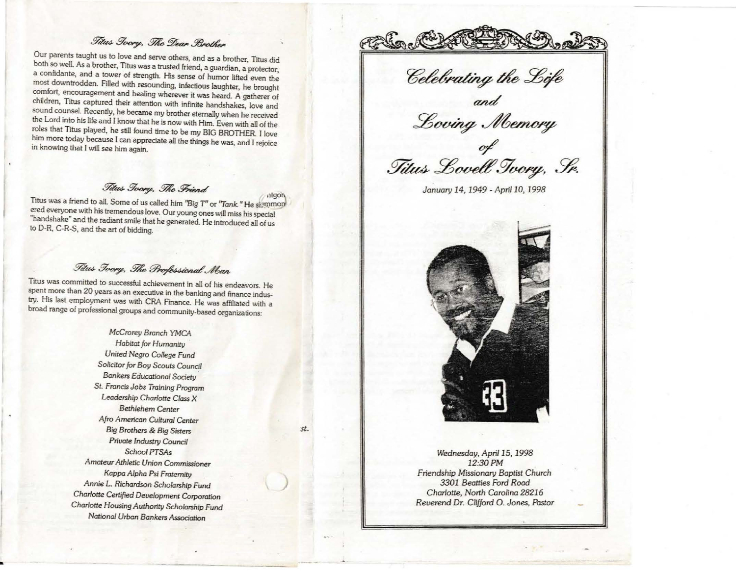## Titus Toory, The Dear Brother

Our parents taught us to love and serve others, and as a brother, Titus did both so well. As a brother, Titus was a trusted friend, a guardian, a protector, a confidante, and a tower of strength. His sense of humor lifted even the most downtrodden. Filled with resounding, infectious laughter, he brought comfort, encouragement and healing wherever it was heard. A gatherer of children, Titus captured their attention with infinite handshakes, love and sound counsel. Recently, he became my brother eternally when he received the Lord into his life and 1 know that he is now with Him. Even with all of the roles that Titus played, he still found time to be my BIG BROTHER. I love him more today because 1 can appreciate all the things he was, and I rejoice in knowing that I will see him again.

# Titus Tvory, The Friend

Titus was a friend to all. Some of us called him "Big T" or "Tank." He slommon ered everyone with his tremendous love. Our young ones will miss his special "handshake" and the radiant smile that he generated. He introduced all of us to D-R, C-R-S, and the art of bidding.

## Fitus Toory, The Professional Man

Titus was committed to successful achievement in all of his endeavors. He spent more than 20 years as an executive in the banking and finance industry. His last employment was with CRA Finance. He was affiliated with a broad range of professional groups and community-based organizations:

> *McCrorey Bronch* YMCA *Habitat for Humanity United* Negro *College Fund Solicitor for Boy Scouts Counc:!I Bankers Educational* Society *St. FroncisJobs* Troining *Program Leadership Charlotte Class X Bethlehem Center*  Afro *American Culturol Center Big Brothers* & *Big Sisters Priuate Industry Council School PTSAs Amateur Alhletic Union Commissioner Kappa Alpha Psi Fraternity*  Annie L. *Richardson Scholarship Fund Charlotte Certified Development Corporotion Charlotte Housing Authority Scholarship Fund National Urban Bankers Association*

)

*st.* 

•

<u>et Chat Changes</u>

 ${and}$  $\frac{1}{2}$ 

o/ Titus Lovell Tvory, Sr.

 $Januaru$  14, 1949 - *April* 10, 1998



*Wednesday, April 15, 1998 12:30PM Friendship* Missionary *Baptist Church 3301 Beatties Ford Road Charlotte, North Carolina 28216 Reverend* Dr. *Clifford* 0 . *Jones,* Pastor